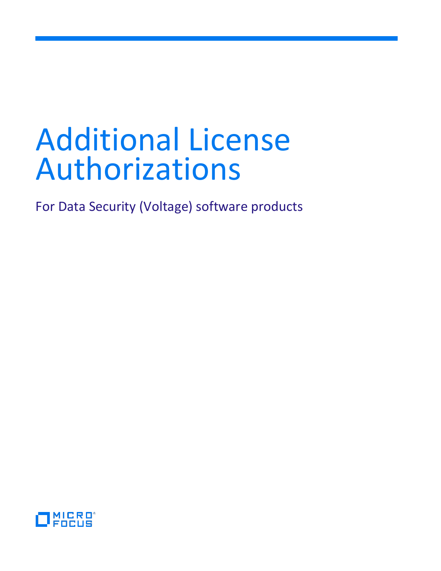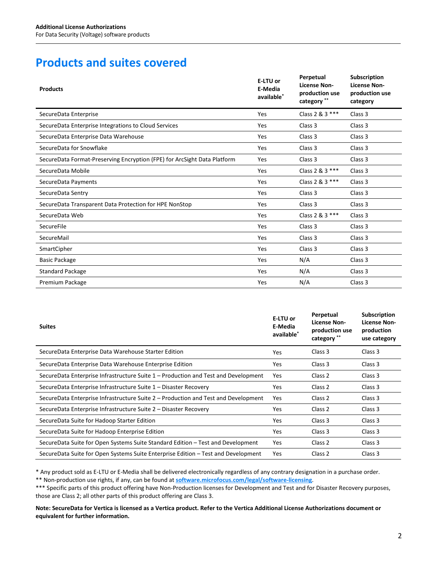# **Products and suites covered**

| <b>Products</b>                                                          | E-LTU or<br>E-Media<br>available* | Perpetual<br><b>License Non-</b><br>production use<br>category ** | <b>Subscription</b><br><b>License Non-</b><br>production use<br>category |
|--------------------------------------------------------------------------|-----------------------------------|-------------------------------------------------------------------|--------------------------------------------------------------------------|
| SecureData Enterprise                                                    | Yes                               | Class 2 & 3 ***                                                   | Class 3                                                                  |
| SecureData Enterprise Integrations to Cloud Services                     | Yes                               | Class 3                                                           | Class 3                                                                  |
| SecureData Enterprise Data Warehouse                                     | Yes                               | Class 3                                                           | Class 3                                                                  |
| SecureData for Snowflake                                                 | Yes                               | Class 3                                                           | Class 3                                                                  |
| SecureData Format-Preserving Encryption (FPE) for ArcSight Data Platform | Yes                               | Class 3                                                           | Class 3                                                                  |
| SecureData Mobile                                                        | Yes                               | Class 2 & 3 ***                                                   | Class 3                                                                  |
| SecureData Payments                                                      | Yes                               | Class 2 & 3 ***                                                   | Class 3                                                                  |
| SecureData Sentry                                                        | Yes                               | Class 3                                                           | Class 3                                                                  |
| SecureData Transparent Data Protection for HPE NonStop                   | Yes                               | Class 3                                                           | Class 3                                                                  |
| SecureData Web                                                           | Yes                               | Class 2 & 3 ***                                                   | Class 3                                                                  |
| SecureFile                                                               | Yes                               | Class <sub>3</sub>                                                | Class 3                                                                  |
| SecureMail                                                               | Yes                               | Class 3                                                           | Class 3                                                                  |
| SmartCipher                                                              | Yes                               | Class 3                                                           | Class 3                                                                  |
| <b>Basic Package</b>                                                     | Yes                               | N/A                                                               | Class 3                                                                  |
| <b>Standard Package</b>                                                  | Yes                               | N/A                                                               | Class 3                                                                  |
| Premium Package                                                          | Yes                               | N/A                                                               | Class 3                                                                  |

| <b>Suites</b>                                                                      | E-LTU or<br>E-Media<br>available <sup>*</sup> | Perpetual<br><b>License Non-</b><br>production use<br>category ** | <b>Subscription</b><br><b>License Non-</b><br>production<br>use category |
|------------------------------------------------------------------------------------|-----------------------------------------------|-------------------------------------------------------------------|--------------------------------------------------------------------------|
| SecureData Enterprise Data Warehouse Starter Edition                               | Yes                                           | Class 3                                                           | Class 3                                                                  |
| SecureData Enterprise Data Warehouse Enterprise Edition                            | Yes                                           | Class 3                                                           | Class 3                                                                  |
| SecureData Enterprise Infrastructure Suite 1 - Production and Test and Development | Yes                                           | Class 2                                                           | Class 3                                                                  |
| SecureData Enterprise Infrastructure Suite 1 – Disaster Recovery                   | Yes.                                          | Class 2                                                           | Class 3                                                                  |
| SecureData Enterprise Infrastructure Suite 2 – Production and Test and Development | Yes                                           | Class 2                                                           | Class 3                                                                  |
| SecureData Enterprise Infrastructure Suite 2 – Disaster Recovery                   | Yes                                           | Class 2                                                           | Class 3                                                                  |
| SecureData Suite for Hadoop Starter Edition                                        | Yes                                           | Class 3                                                           | Class 3                                                                  |
| SecureData Suite for Hadoop Enterprise Edition                                     | Yes                                           | Class 3                                                           | Class 3                                                                  |
| SecureData Suite for Open Systems Suite Standard Edition – Test and Development    | Yes                                           | Class 2                                                           | Class 3                                                                  |
| SecureData Suite for Open Systems Suite Enterprise Edition – Test and Development  | <b>Yes</b>                                    | Class 2                                                           | Class 3                                                                  |

\* Any product sold as E-LTU or E-Media shall be delivered electronically regardless of any contrary designation in a purchase order.

\*\* Non-production use rights, if any, can be found at **[software.microfocus.com/legal/software-licensing](https://software.microfocus.com/legal/software-licensing)**.

\*\*\* Specific parts of this product offering have Non-Production licenses for Development and Test and for Disaster Recovery purposes, those are Class 2; all other parts of this product offering are Class 3.

#### **Note: SecureData for Vertica is licensed as a Vertica product. Refer to the Vertica Additional License Authorizations document or equivalent for further information.**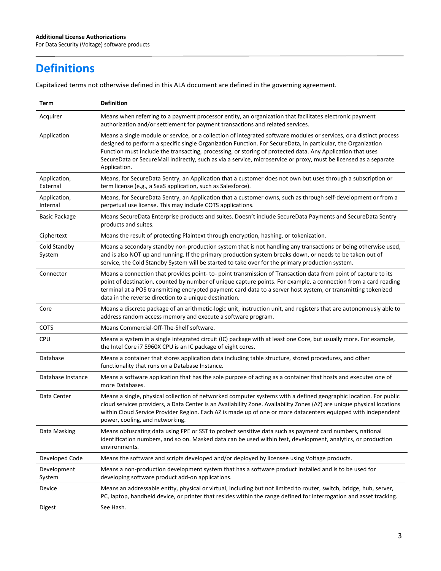# **Definitions**

Capitalized terms not otherwise defined in this ALA document are defined in the governing agreement.

| Term                     | <b>Definition</b>                                                                                                                                                                                                                                                                                                                                                                                                                                                                      |
|--------------------------|----------------------------------------------------------------------------------------------------------------------------------------------------------------------------------------------------------------------------------------------------------------------------------------------------------------------------------------------------------------------------------------------------------------------------------------------------------------------------------------|
| Acquirer                 | Means when referring to a payment processor entity, an organization that facilitates electronic payment<br>authorization and/or settlement for payment transactions and related services.                                                                                                                                                                                                                                                                                              |
| Application              | Means a single module or service, or a collection of integrated software modules or services, or a distinct process<br>designed to perform a specific single Organization Function. For SecureData, in particular, the Organization<br>Function must include the transacting, processing, or storing of protected data. Any Application that uses<br>SecureData or SecureMail indirectly, such as via a service, microservice or proxy, must be licensed as a separate<br>Application. |
| Application,<br>External | Means, for SecureData Sentry, an Application that a customer does not own but uses through a subscription or<br>term license (e.g., a SaaS application, such as Salesforce).                                                                                                                                                                                                                                                                                                           |
| Application,<br>Internal | Means, for SecureData Sentry, an Application that a customer owns, such as through self-development or from a<br>perpetual use license. This may include COTS applications.                                                                                                                                                                                                                                                                                                            |
| Basic Package            | Means SecureData Enterprise products and suites. Doesn't include SecureData Payments and SecureData Sentry<br>products and suites.                                                                                                                                                                                                                                                                                                                                                     |
| Ciphertext               | Means the result of protecting Plaintext through encryption, hashing, or tokenization.                                                                                                                                                                                                                                                                                                                                                                                                 |
| Cold Standby<br>System   | Means a secondary standby non-production system that is not handling any transactions or being otherwise used,<br>and is also NOT up and running. If the primary production system breaks down, or needs to be taken out of<br>service, the Cold Standby System will be started to take over for the primary production system.                                                                                                                                                        |
| Connector                | Means a connection that provides point- to-point transmission of Transaction data from point of capture to its<br>point of destination, counted by number of unique capture points. For example, a connection from a card reading<br>terminal at a POS transmitting encrypted payment card data to a server host system, or transmitting tokenized<br>data in the reverse direction to a unique destination.                                                                           |
| Core                     | Means a discrete package of an arithmetic-logic unit, instruction unit, and registers that are autonomously able to<br>address random access memory and execute a software program.                                                                                                                                                                                                                                                                                                    |
| COTS                     | Means Commercial-Off-The-Shelf software.                                                                                                                                                                                                                                                                                                                                                                                                                                               |
| <b>CPU</b>               | Means a system in a single integrated circuit (IC) package with at least one Core, but usually more. For example,<br>the Intel Core i7 5960X CPU is an IC package of eight cores.                                                                                                                                                                                                                                                                                                      |
| Database                 | Means a container that stores application data including table structure, stored procedures, and other<br>functionality that runs on a Database Instance.                                                                                                                                                                                                                                                                                                                              |
| Database Instance        | Means a software application that has the sole purpose of acting as a container that hosts and executes one of<br>more Databases.                                                                                                                                                                                                                                                                                                                                                      |
| Data Center              | Means a single, physical collection of networked computer systems with a defined geographic location. For public<br>cloud services providers, a Data Center is an Availability Zone. Availability Zones (AZ) are unique physical locations<br>within Cloud Service Provider Region. Each AZ is made up of one or more datacenters equipped with independent<br>power, cooling, and networking.                                                                                         |
| Data Masking             | Means obfuscating data using FPE or SST to protect sensitive data such as payment card numbers, national<br>identification numbers, and so on. Masked data can be used within test, development, analytics, or production<br>environments.                                                                                                                                                                                                                                             |
| Developed Code           | Means the software and scripts developed and/or deployed by licensee using Voltage products.                                                                                                                                                                                                                                                                                                                                                                                           |
| Development<br>System    | Means a non-production development system that has a software product installed and is to be used for<br>developing software product add-on applications.                                                                                                                                                                                                                                                                                                                              |
| Device                   | Means an addressable entity, physical or virtual, including but not limited to router, switch, bridge, hub, server,<br>PC, laptop, handheld device, or printer that resides within the range defined for interrogation and asset tracking.                                                                                                                                                                                                                                             |
| Digest                   | See Hash.                                                                                                                                                                                                                                                                                                                                                                                                                                                                              |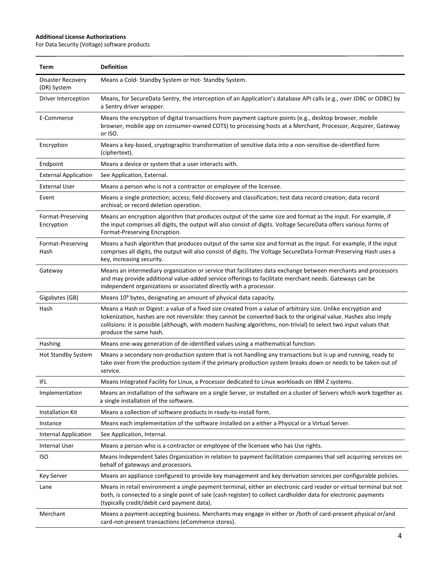| Term                             | <b>Definition</b>                                                                                                                                                                                                                                                                                                                                                                |
|----------------------------------|----------------------------------------------------------------------------------------------------------------------------------------------------------------------------------------------------------------------------------------------------------------------------------------------------------------------------------------------------------------------------------|
| Disaster Recovery<br>(DR) System | Means a Cold- Standby System or Hot- Standby System.                                                                                                                                                                                                                                                                                                                             |
| Driver Interception              | Means, for SecureData Sentry, the interception of an Application's database API calls (e.g., over JDBC or ODBC) by<br>a Sentry driver wrapper.                                                                                                                                                                                                                                   |
| E-Commerce                       | Means the encryption of digital transactions from payment capture points (e.g., desktop browser, mobile<br>browser, mobile app on consumer-owned COTS) to processing hosts at a Merchant, Processor, Acquirer, Gateway<br>or ISO.                                                                                                                                                |
| Encryption                       | Means a key-based, cryptographic transformation of sensitive data into a non-sensitive de-identified form<br>(ciphertext).                                                                                                                                                                                                                                                       |
| Endpoint                         | Means a device or system that a user interacts with.                                                                                                                                                                                                                                                                                                                             |
| <b>External Application</b>      | See Application, External.                                                                                                                                                                                                                                                                                                                                                       |
| <b>External User</b>             | Means a person who is not a contractor or employee of the licensee.                                                                                                                                                                                                                                                                                                              |
| Event                            | Means a single protection; access; field discovery and classification; test data record creation; data record<br>archival; or record deletion operation.                                                                                                                                                                                                                         |
| Format-Preserving<br>Encryption  | Means an encryption algorithm that produces output of the same size and format as the input. For example, if<br>the input comprises all digits, the output will also consist of digits. Voltage SecureData offers various forms of<br>Format-Preserving Encryption.                                                                                                              |
| Format-Preserving<br>Hash        | Means a hash algorithm that produces output of the same size and format as the input. For example, if the input<br>comprises all digits, the output will also consist of digits. The Voltage SecureData Format-Preserving Hash uses a<br>key, increasing security.                                                                                                               |
| Gateway                          | Means an intermediary organization or service that facilitates data exchange between merchants and processors<br>and may provide additional value-added service offerings to facilitate merchant needs. Gateways can be<br>independent organizations or associated directly with a processor.                                                                                    |
| Gigabytes (GB)                   | Means 10 <sup>9</sup> bytes, designating an amount of physical data capacity.                                                                                                                                                                                                                                                                                                    |
| Hash                             | Means a Hash or Digest: a value of a fixed size created from a value of arbitrary size. Unlike encryption and<br>tokenization, hashes are not reversible: they cannot be converted back to the original value. Hashes also imply<br>collisions: it is possible (although, with modern hashing algorithms, non-trivial) to select two input values that<br>produce the same hash. |
| Hashing                          | Means one-way generation of de-identified values using a mathematical function.                                                                                                                                                                                                                                                                                                  |
| <b>Hot Standby System</b>        | Means a secondary non-production system that is not handling any transactions but is up and running, ready to<br>take over from the production system if the primary production system breaks down or needs to be taken out of<br>service.                                                                                                                                       |
| IFL                              | Means Integrated Facility for Linux, a Processor dedicated to Linux workloads on IBM Z systems.                                                                                                                                                                                                                                                                                  |
| Implementation                   | Means an installation of the software on a single Server, or installed on a cluster of Servers which work together as<br>a single installation of the software.                                                                                                                                                                                                                  |
| Installation Kit                 | Means a collection of software products in ready-to-install form.                                                                                                                                                                                                                                                                                                                |
| Instance                         | Means each implementation of the software installed on a either a Physical or a Virtual Server.                                                                                                                                                                                                                                                                                  |
| <b>Internal Application</b>      | See Application, Internal.                                                                                                                                                                                                                                                                                                                                                       |
| <b>Internal User</b>             | Means a person who is a contractor or employee of the licensee who has Use rights.                                                                                                                                                                                                                                                                                               |
| <b>ISO</b>                       | Means Independent Sales Organization in relation to payment facilitation companies that sell acquiring services on<br>behalf of gateways and processors.                                                                                                                                                                                                                         |
| Key Server                       | Means an appliance configured to provide key management and key derivation services per configurable policies.                                                                                                                                                                                                                                                                   |
| Lane                             | Means in retail environment a single payment terminal, either an electronic card reader or virtual terminal but not<br>both, is connected to a single point of sale (cash register) to collect cardholder data for electronic payments<br>(typically credit/debit card payment data).                                                                                            |
| Merchant                         | Means a payment-accepting business. Merchants may engage in either or /both of card-present physical or/and<br>card-not-present transactions (eCommerce stores).                                                                                                                                                                                                                 |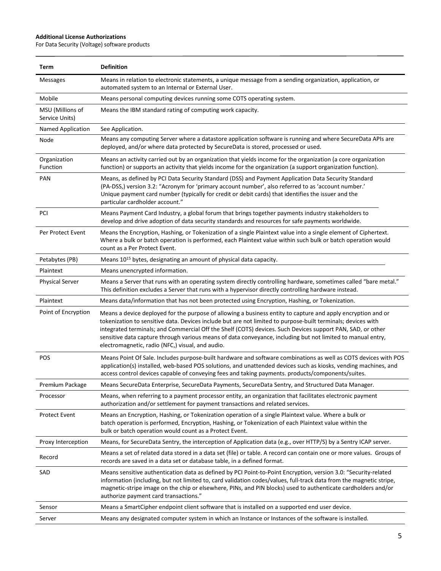| Term                               | <b>Definition</b>                                                                                                                                                                                                                                                                                                                                                                                                                                                                                             |
|------------------------------------|---------------------------------------------------------------------------------------------------------------------------------------------------------------------------------------------------------------------------------------------------------------------------------------------------------------------------------------------------------------------------------------------------------------------------------------------------------------------------------------------------------------|
| <b>Messages</b>                    | Means in relation to electronic statements, a unique message from a sending organization, application, or<br>automated system to an Internal or External User.                                                                                                                                                                                                                                                                                                                                                |
| Mobile                             | Means personal computing devices running some COTS operating system.                                                                                                                                                                                                                                                                                                                                                                                                                                          |
| MSU (Millions of<br>Service Units) | Means the IBM standard rating of computing work capacity.                                                                                                                                                                                                                                                                                                                                                                                                                                                     |
| Named Application                  | See Application.                                                                                                                                                                                                                                                                                                                                                                                                                                                                                              |
| Node                               | Means any computing Server where a datastore application software is running and where SecureData APIs are<br>deployed, and/or where data protected by SecureData is stored, processed or used.                                                                                                                                                                                                                                                                                                               |
| Organization<br>Function           | Means an activity carried out by an organization that yields income for the organization (a core organization<br>function) or supports an activity that yields income for the organization (a support organization function).                                                                                                                                                                                                                                                                                 |
| <b>PAN</b>                         | Means, as defined by PCI Data Security Standard (DSS) and Payment Application Data Security Standard<br>(PA-DSS,) version 3.2: "Acronym for 'primary account number', also referred to as 'account number.'<br>Unique payment card number (typically for credit or debit cards) that identifies the issuer and the<br>particular cardholder account."                                                                                                                                                         |
| PCI                                | Means Payment Card Industry, a global forum that brings together payments industry stakeholders to<br>develop and drive adoption of data security standards and resources for safe payments worldwide.                                                                                                                                                                                                                                                                                                        |
| Per Protect Event                  | Means the Encryption, Hashing, or Tokenization of a single Plaintext value into a single element of Ciphertext.<br>Where a bulk or batch operation is performed, each Plaintext value within such bulk or batch operation would<br>count as a Per Protect Event.                                                                                                                                                                                                                                              |
| Petabytes (PB)                     | Means 10 <sup>15</sup> bytes, designating an amount of physical data capacity.                                                                                                                                                                                                                                                                                                                                                                                                                                |
| Plaintext                          | Means unencrypted information.                                                                                                                                                                                                                                                                                                                                                                                                                                                                                |
| <b>Physical Server</b>             | Means a Server that runs with an operating system directly controlling hardware, sometimes called "bare metal."<br>This definition excludes a Server that runs with a hypervisor directly controlling hardware instead.                                                                                                                                                                                                                                                                                       |
| Plaintext                          | Means data/information that has not been protected using Encryption, Hashing, or Tokenization.                                                                                                                                                                                                                                                                                                                                                                                                                |
| Point of Encryption                | Means a device deployed for the purpose of allowing a business entity to capture and apply encryption and or<br>tokenization to sensitive data. Devices include but are not limited to purpose-built terminals; devices with<br>integrated terminals; and Commercial Off the Shelf (COTS) devices. Such Devices support PAN, SAD, or other<br>sensitive data capture through various means of data conveyance, including but not limited to manual entry,<br>electromagnetic, radio (NFC,) visual, and audio. |
| <b>POS</b>                         | Means Point Of Sale. Includes purpose-built hardware and software combinations as well as COTS devices with POS<br>application(s) installed, web-based POS solutions, and unattended devices such as kiosks, vending machines, and<br>access control devices capable of conveying fees and taking payments. products/components/suites.                                                                                                                                                                       |
| Premium Package                    | Means SecureData Enterprise, SecureData Payments, SecureData Sentry, and Structured Data Manager.                                                                                                                                                                                                                                                                                                                                                                                                             |
| Processor                          | Means, when referring to a payment processor entity, an organization that facilitates electronic payment<br>authorization and/or settlement for payment transactions and related services.                                                                                                                                                                                                                                                                                                                    |
| <b>Protect Event</b>               | Means an Encryption, Hashing, or Tokenization operation of a single Plaintext value. Where a bulk or<br>batch operation is performed, Encryption, Hashing, or Tokenization of each Plaintext value within the<br>bulk or batch operation would count as a Protect Event.                                                                                                                                                                                                                                      |
| Proxy Interception                 | Means, for SecureData Sentry, the interception of Application data (e.g., over HTTP/S) by a Sentry ICAP server.                                                                                                                                                                                                                                                                                                                                                                                               |
| Record                             | Means a set of related data stored in a data set (file) or table. A record can contain one or more values. Groups of<br>records are saved in a data set or database table, in a defined format.                                                                                                                                                                                                                                                                                                               |
| SAD                                | Means sensitive authentication data as defined by PCI Point-to-Point Encryption, version 3.0: "Security-related<br>information (including, but not limited to, card validation codes/values, full-track data from the magnetic stripe,<br>magnetic-stripe image on the chip or elsewhere, PINs, and PIN blocks) used to authenticate cardholders and/or<br>authorize payment card transactions."                                                                                                              |
| Sensor                             | Means a SmartCipher endpoint client software that is installed on a supported end user device.                                                                                                                                                                                                                                                                                                                                                                                                                |
| Server                             | Means any designated computer system in which an Instance or Instances of the software is installed.                                                                                                                                                                                                                                                                                                                                                                                                          |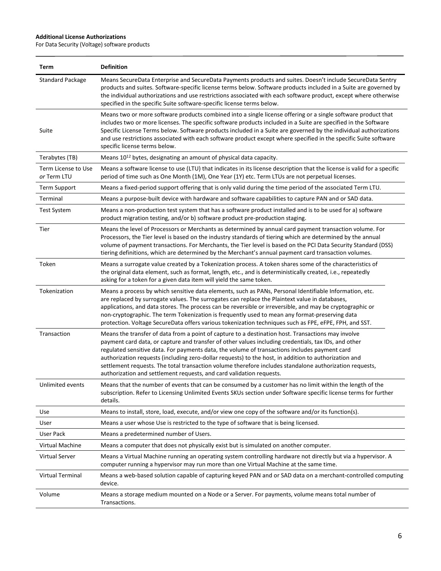| Term                               | <b>Definition</b>                                                                                                                                                                                                                                                                                                                                                                                                                                                                                                                                                                                       |
|------------------------------------|---------------------------------------------------------------------------------------------------------------------------------------------------------------------------------------------------------------------------------------------------------------------------------------------------------------------------------------------------------------------------------------------------------------------------------------------------------------------------------------------------------------------------------------------------------------------------------------------------------|
| <b>Standard Package</b>            | Means SecureData Enterprise and SecureData Payments products and suites. Doesn't include SecureData Sentry<br>products and suites. Software-specific license terms below. Software products included in a Suite are governed by<br>the individual authorizations and use restrictions associated with each software product, except where otherwise<br>specified in the specific Suite software-specific license terms below.                                                                                                                                                                           |
| Suite                              | Means two or more software products combined into a single license offering or a single software product that<br>includes two or more licenses. The specific software products included in a Suite are specified in the Software<br>Specific License Terms below. Software products included in a Suite are governed by the individual authorizations<br>and use restrictions associated with each software product except where specified in the specific Suite software<br>specific license terms below.                                                                                              |
| Terabytes (TB)                     | Means 10 <sup>12</sup> bytes, designating an amount of physical data capacity.                                                                                                                                                                                                                                                                                                                                                                                                                                                                                                                          |
| Term License to Use<br>or Term LTU | Means a software license to use (LTU) that indicates in its license description that the license is valid for a specific<br>period of time such as One Month (1M), One Year (1Y) etc. Term LTUs are not perpetual licenses.                                                                                                                                                                                                                                                                                                                                                                             |
| <b>Term Support</b>                | Means a fixed-period support offering that is only valid during the time period of the associated Term LTU.                                                                                                                                                                                                                                                                                                                                                                                                                                                                                             |
| Terminal                           | Means a purpose-built device with hardware and software capabilities to capture PAN and or SAD data.                                                                                                                                                                                                                                                                                                                                                                                                                                                                                                    |
| <b>Test System</b>                 | Means a non-production test system that has a software product installed and is to be used for a) software<br>product migration testing, and/or b) software product pre-production staging.                                                                                                                                                                                                                                                                                                                                                                                                             |
| Tier                               | Means the level of Processors or Merchants as determined by annual card payment transaction volume. For<br>Processors, the Tier level is based on the industry standards of tiering which are determined by the annual<br>volume of payment transactions. For Merchants, the Tier level is based on the PCI Data Security Standard (DSS)<br>tiering definitions, which are determined by the Merchant's annual payment card transaction volumes.                                                                                                                                                        |
| Token                              | Means a surrogate value created by a Tokenization process. A token shares some of the characteristics of<br>the original data element, such as format, length, etc., and is deterministically created, i.e., repeatedly<br>asking for a token for a given data item will yield the same token.                                                                                                                                                                                                                                                                                                          |
| Tokenization                       | Means a process by which sensitive data elements, such as PANs, Personal Identifiable Information, etc.<br>are replaced by surrogate values. The surrogates can replace the Plaintext value in databases,<br>applications, and data stores. The process can be reversible or irreversible, and may be cryptographic or<br>non-cryptographic. The term Tokenization is frequently used to mean any format-preserving data<br>protection. Voltage SecureData offers various tokenization techniques such as FPE, eFPE, FPH, and SST.                                                                      |
| Transaction                        | Means the transfer of data from a point of capture to a destination host. Transactions may involve<br>payment card data, or capture and transfer of other values including credentials, tax IDs, and other<br>regulated sensitive data. For payments data, the volume of transactions includes payment card<br>authorization requests (including zero-dollar requests) to the host, in addition to authorization and<br>settlement requests. The total transaction volume therefore includes standalone authorization requests,<br>authorization and settlement requests, and card validation requests. |
| Unlimited events                   | Means that the number of events that can be consumed by a customer has no limit within the length of the<br>subscription. Refer to Licensing Unlimited Events SKUs section under Software specific license terms for further<br>details.                                                                                                                                                                                                                                                                                                                                                                |
| Use                                | Means to install, store, load, execute, and/or view one copy of the software and/or its function(s).                                                                                                                                                                                                                                                                                                                                                                                                                                                                                                    |
| User                               | Means a user whose Use is restricted to the type of software that is being licensed.                                                                                                                                                                                                                                                                                                                                                                                                                                                                                                                    |
| <b>User Pack</b>                   | Means a predetermined number of Users.                                                                                                                                                                                                                                                                                                                                                                                                                                                                                                                                                                  |
| Virtual Machine                    | Means a computer that does not physically exist but is simulated on another computer.                                                                                                                                                                                                                                                                                                                                                                                                                                                                                                                   |
| Virtual Server                     | Means a Virtual Machine running an operating system controlling hardware not directly but via a hypervisor. A<br>computer running a hypervisor may run more than one Virtual Machine at the same time.                                                                                                                                                                                                                                                                                                                                                                                                  |
| Virtual Terminal                   | Means a web-based solution capable of capturing keyed PAN and or SAD data on a merchant-controlled computing<br>device.                                                                                                                                                                                                                                                                                                                                                                                                                                                                                 |
| Volume                             | Means a storage medium mounted on a Node or a Server. For payments, volume means total number of<br>Transactions.                                                                                                                                                                                                                                                                                                                                                                                                                                                                                       |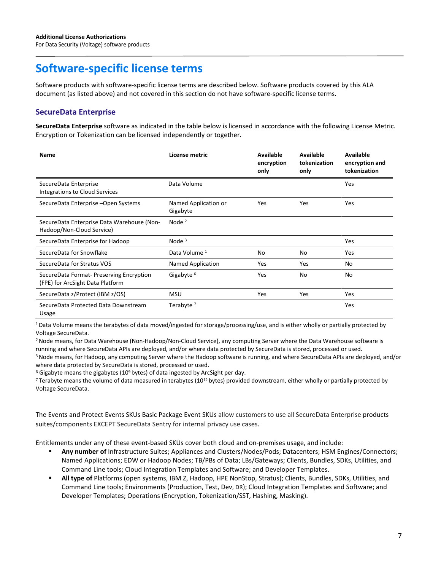# **Software-specific license terms**

Software products with software-specific license terms are described below. Software products covered by this ALA document (as listed above) and not covered in this section do not have software-specific license terms.

# **SecureData Enterprise**

**SecureData Enterprise** software as indicated in the table below is licensed in accordance with the following License Metric. Encryption or Tokenization can be licensed independently or together.

| <b>Name</b>                                                                  | License metric                   | <b>Available</b><br>encryption<br>only | Available<br>tokenization<br>only | Available<br>encryption and<br>tokenization |
|------------------------------------------------------------------------------|----------------------------------|----------------------------------------|-----------------------------------|---------------------------------------------|
| SecureData Enterprise<br><b>Integrations to Cloud Services</b>               | Data Volume                      |                                        |                                   | Yes                                         |
| SecureData Enterprise -Open Systems                                          | Named Application or<br>Gigabyte | Yes                                    | Yes                               | Yes                                         |
| SecureData Enterprise Data Warehouse (Non-<br>Hadoop/Non-Cloud Service)      | Node $2$                         |                                        |                                   |                                             |
| SecureData Enterprise for Hadoop                                             | Node $3$                         |                                        |                                   | Yes                                         |
| SecureData for Snowflake                                                     | Data Volume 1                    | No                                     | No                                | Yes                                         |
| SecureData for Stratus VOS                                                   | Named Application                | Yes                                    | Yes                               | No                                          |
| SecureData Format- Preserving Encryption<br>(FPE) for ArcSight Data Platform | Gigabyte <sup>6</sup>            | Yes                                    | No                                | No                                          |
| SecureData z/Protect (IBM z/OS)                                              | <b>MSU</b>                       | Yes                                    | Yes                               | Yes                                         |
| SecureData Protected Data Downstream<br>Usage                                | Terabyte <sup>7</sup>            |                                        |                                   | Yes                                         |

1 Data Volume means the terabytes of data moved/ingested for storage/processing/use, and is either wholly or partially protected by Voltage SecureData.

<sup>2</sup> Node means, for Data Warehouse (Non-Hadoop/Non-Cloud Service), any computing Server where the Data Warehouse software is running and where SecureData APIs are deployed, and/or where data protected by SecureData is stored, processed or used.

3 Node means, for Hadoop, any computing Server where the Hadoop software is running, and where SecureData APIs are deployed, and/or where data protected by SecureData is stored, processed or used.

 $6$  Gigabyte means the gigabytes (10<sup>9</sup> bytes) of data ingested by ArcSight per day.

<sup>7</sup> Terabyte means the volume of data measured in terabytes (10<sup>12</sup> bytes) provided downstream, either wholly or partially protected by Voltage SecureData.

The Events and Protect Events SKUs Basic Package Event SKUs allow customers to use all SecureData Enterprise products suites/components EXCEPT SecureData Sentry for internal privacy use cases.

Entitlements under any of these event-based SKUs cover both cloud and on-premises usage, and include:

- **Any number of** Infrastructure Suites; Appliances and Clusters/Nodes/Pods; Datacenters; HSM Engines/Connectors; Named Applications; EDW or Hadoop Nodes; TB/PBs of Data; LBs/Gateways; Clients, Bundles, SDKs, Utilities, and Command Line tools; Cloud Integration Templates and Software; and Developer Templates.
- **All type of** Platforms (open systems, IBM Z, Hadoop, HPE NonStop, Stratus); Clients, Bundles, SDKs, Utilities, and Command Line tools; Environments (Production, Test, Dev, DR); Cloud Integration Templates and Software; and Developer Templates; Operations (Encryption, Tokenization/SST, Hashing, Masking).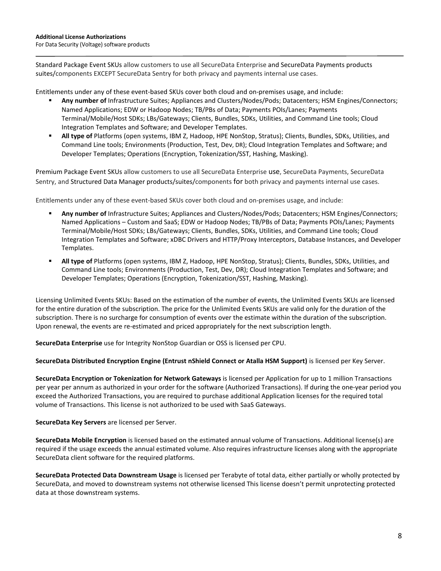Standard Package Event SKUs allow customers to use all SecureData Enterprise and SecureData Payments products suites/components EXCEPT SecureData Sentry for both privacy and payments internal use cases.

Entitlements under any of these event-based SKUs cover both cloud and on-premises usage, and include:

- **Any number of** Infrastructure Suites; Appliances and Clusters/Nodes/Pods; Datacenters; HSM Engines/Connectors; Named Applications; EDW or Hadoop Nodes; TB/PBs of Data; Payments POIs/Lanes; Payments Terminal/Mobile/Host SDKs; LBs/Gateways; Clients, Bundles, SDKs, Utilities, and Command Line tools; Cloud Integration Templates and Software; and Developer Templates.
- **All type of** Platforms (open systems, IBM Z, Hadoop, HPE NonStop, Stratus); Clients, Bundles, SDKs, Utilities, and Command Line tools; Environments (Production, Test, Dev, DR); Cloud Integration Templates and Software; and Developer Templates; Operations (Encryption, Tokenization/SST, Hashing, Masking).

Premium Package Event SKUs allow customers to use all SecureData Enterprise use, SecureData Payments, SecureData Sentry, and Structured Data Manager products/suites/components for both privacy and payments internal use cases.

Entitlements under any of these event-based SKUs cover both cloud and on-premises usage, and include:

- **Any number of** Infrastructure Suites; Appliances and Clusters/Nodes/Pods; Datacenters; HSM Engines/Connectors; Named Applications – Custom and SaaS; EDW or Hadoop Nodes; TB/PBs of Data; Payments POIs/Lanes; Payments Terminal/Mobile/Host SDKs; LBs/Gateways; Clients, Bundles, SDKs, Utilities, and Command Line tools; Cloud Integration Templates and Software; xDBC Drivers and HTTP/Proxy Interceptors, Database Instances, and Developer Templates.
- **All type of** Platforms (open systems, IBM Z, Hadoop, HPE NonStop, Stratus); Clients, Bundles, SDKs, Utilities, and Command Line tools; Environments (Production, Test, Dev, DR); Cloud Integration Templates and Software; and Developer Templates; Operations (Encryption, Tokenization/SST, Hashing, Masking).

Licensing Unlimited Events SKUs: Based on the estimation of the number of events, the Unlimited Events SKUs are licensed for the entire duration of the subscription. The price for the Unlimited Events SKUs are valid only for the duration of the subscription. There is no surcharge for consumption of events over the estimate within the duration of the subscription. Upon renewal, the events are re-estimated and priced appropriately for the next subscription length.

**SecureData Enterprise** use for Integrity NonStop Guardian or OSS is licensed per CPU.

**SecureData Distributed Encryption Engine (Entrust nShield Connect or Atalla HSM Support)** is licensed per Key Server.

**SecureData Encryption or Tokenization for Network Gateways** is licensed per Application for up to 1 million Transactions per year per annum as authorized in your order for the software (Authorized Transactions). If during the one-year period you exceed the Authorized Transactions, you are required to purchase additional Application licenses for the required total volume of Transactions. This license is not authorized to be used with SaaS Gateways.

**SecureData Key Servers** are licensed per Server.

**SecureData Mobile Encryption** is licensed based on the estimated annual volume of Transactions. Additional license(s) are required if the usage exceeds the annual estimated volume. Also requires infrastructure licenses along with the appropriate SecureData client software for the required platforms.

**SecureData Protected Data Downstream Usage** is licensed per Terabyte of total data, either partially or wholly protected by SecureData, and moved to downstream systems not otherwise licensed This license doesn't permit unprotecting protected data at those downstream systems.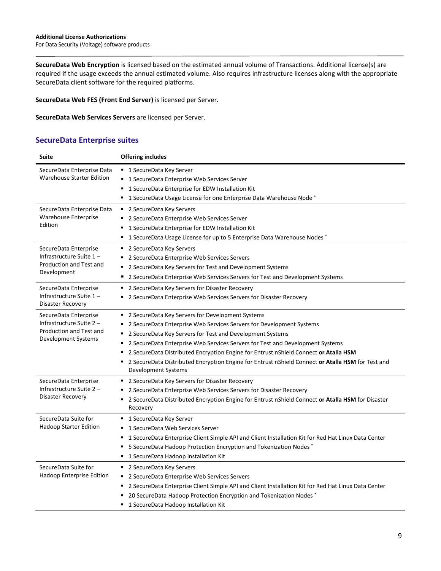**SecureData Web Encryption** is licensed based on the estimated annual volume of Transactions. Additional license(s) are required if the usage exceeds the annual estimated volume. Also requires infrastructure licenses along with the appropriate SecureData client software for the required platforms.

**SecureData Web FES (Front End Server)** is licensed per Server.

**SecureData Web Services Servers** are licensed per Server.

## **SecureData Enterprise suites**

| <b>Suite</b>                                                                                        | <b>Offering includes</b>                                                                                                                                                                                                                                                                                                                                                                                                                                                                                         |
|-----------------------------------------------------------------------------------------------------|------------------------------------------------------------------------------------------------------------------------------------------------------------------------------------------------------------------------------------------------------------------------------------------------------------------------------------------------------------------------------------------------------------------------------------------------------------------------------------------------------------------|
| SecureData Enterprise Data<br><b>Warehouse Starter Edition</b>                                      | ■ 1 SecureData Key Server<br>■ 1 SecureData Enterprise Web Services Server<br>1 SecureData Enterprise for EDW Installation Kit<br>1 SecureData Usage License for one Enterprise Data Warehouse Node *<br>٠                                                                                                                                                                                                                                                                                                       |
| SecureData Enterprise Data<br>Warehouse Enterprise<br>Edition                                       | ■ 2 SecureData Key Servers<br>2 SecureData Enterprise Web Services Server<br>٠<br>1 SecureData Enterprise for EDW Installation Kit<br>1 SecureData Usage License for up to 5 Enterprise Data Warehouse Nodes *<br>٠                                                                                                                                                                                                                                                                                              |
| SecureData Enterprise<br>Infrastructure Suite 1-<br>Production and Test and<br>Development          | ■ 2 SecureData Key Servers<br>2 SecureData Enterprise Web Services Servers<br>٠<br>2 SecureData Key Servers for Test and Development Systems<br>2 SecureData Enterprise Web Services Servers for Test and Development Systems<br>٠                                                                                                                                                                                                                                                                               |
| SecureData Enterprise<br>Infrastructure Suite 1-<br>Disaster Recovery                               | ٠<br>2 SecureData Key Servers for Disaster Recovery<br>2 SecureData Enterprise Web Services Servers for Disaster Recovery<br>٠                                                                                                                                                                                                                                                                                                                                                                                   |
| SecureData Enterprise<br>Infrastructure Suite 2 -<br>Production and Test and<br>Development Systems | ■ 2 SecureData Key Servers for Development Systems<br>2 SecureData Enterprise Web Services Servers for Development Systems<br>٠<br>2 SecureData Key Servers for Test and Development Systems<br>٠<br>2 SecureData Enterprise Web Services Servers for Test and Development Systems<br>٠<br>2 SecureData Distributed Encryption Engine for Entrust nShield Connect or Atalla HSM<br>٠<br>2 SecureData Distributed Encryption Engine for Entrust nShield Connect or Atalla HSM for Test and<br>Development Systems |
| SecureData Enterprise<br>Infrastructure Suite 2 -<br>Disaster Recovery                              | ■ 2 SecureData Key Servers for Disaster Recovery<br>2 SecureData Enterprise Web Services Servers for Disaster Recovery<br>2 SecureData Distributed Encryption Engine for Entrust nShield Connect or Atalla HSM for Disaster<br>Recovery                                                                                                                                                                                                                                                                          |
| SecureData Suite for<br><b>Hadoop Starter Edition</b>                                               | ■ 1 SecureData Key Server<br>1 SecureData Web Services Server<br>1 SecureData Enterprise Client Simple API and Client Installation Kit for Red Hat Linux Data Center<br>٠<br>5 SecureData Hadoop Protection Encryption and Tokenization Nodes<br>٠<br>1 SecureData Hadoop Installation Kit<br>٠                                                                                                                                                                                                                  |
| SecureData Suite for<br>Hadoop Enterprise Edition                                                   | 2 SecureData Key Servers<br>٠<br>2 SecureData Enterprise Web Services Servers<br>٠<br>2 SecureData Enterprise Client Simple API and Client Installation Kit for Red Hat Linux Data Center<br>٠<br>20 SecureData Hadoop Protection Encryption and Tokenization Nodes *<br>1 SecureData Hadoop Installation Kit                                                                                                                                                                                                    |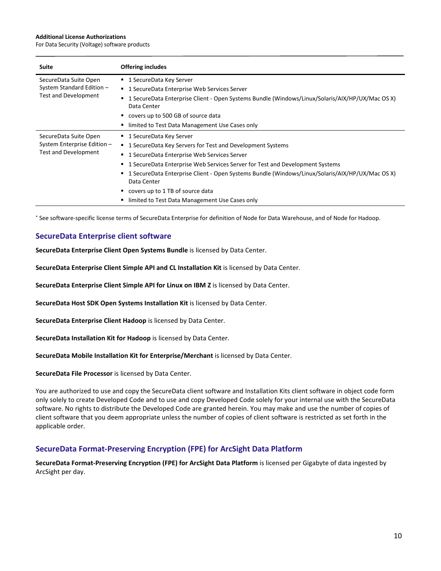For Data Security (Voltage) software products

| Suite                       | <b>Offering includes</b>                                                                                            |  |  |  |
|-----------------------------|---------------------------------------------------------------------------------------------------------------------|--|--|--|
| SecureData Suite Open       | ■ 1 SecureData Key Server                                                                                           |  |  |  |
| System Standard Edition -   | 1 SecureData Enterprise Web Services Server<br>л.                                                                   |  |  |  |
| <b>Test and Development</b> | 1 SecureData Enterprise Client - Open Systems Bundle (Windows/Linux/Solaris/AIX/HP/UX/Mac OS X)<br>٠<br>Data Center |  |  |  |
|                             | ■ covers up to 500 GB of source data                                                                                |  |  |  |
|                             | limited to Test Data Management Use Cases only<br>٠                                                                 |  |  |  |
| SecureData Suite Open       | ■ 1 SecureData Key Server                                                                                           |  |  |  |
| System Enterprise Edition - | 1 SecureData Key Servers for Test and Development Systems                                                           |  |  |  |
| Test and Development        | 1 SecureData Enterprise Web Services Server<br>٠                                                                    |  |  |  |
|                             | 1 SecureData Enterprise Web Services Server for Test and Development Systems<br>٠                                   |  |  |  |
|                             | 1 SecureData Enterprise Client - Open Systems Bundle (Windows/Linux/Solaris/AIX/HP/UX/Mac OS X)<br>٠<br>Data Center |  |  |  |
|                             | covers up to 1 TB of source data<br>٠                                                                               |  |  |  |
|                             | limited to Test Data Management Use Cases only<br>٠                                                                 |  |  |  |

\* See software-specific license terms of SecureData Enterprise for definition of Node for Data Warehouse, and of Node for Hadoop.

### **SecureData Enterprise client software**

**SecureData Enterprise Client Open Systems Bundle** is licensed by Data Center.

**SecureData Enterprise Client Simple API and CL Installation Kit** is licensed by Data Center.

**SecureData Enterprise Client Simple API for Linux on IBM Z** is licensed by Data Center.

**SecureData Host SDK Open Systems Installation Kit** is licensed by Data Center.

**SecureData Enterprise Client Hadoop** is licensed by Data Center.

**SecureData Installation Kit for Hadoop** is licensed by Data Center.

**SecureData Mobile Installation Kit for Enterprise/Merchant** is licensed by Data Center.

**SecureData File Processor** is licensed by Data Center.

You are authorized to use and copy the SecureData client software and Installation Kits client software in object code form only solely to create Developed Code and to use and copy Developed Code solely for your internal use with the SecureData software. No rights to distribute the Developed Code are granted herein. You may make and use the number of copies of client software that you deem appropriate unless the number of copies of client software is restricted as set forth in the applicable order.

#### **SecureData Format-Preserving Encryption (FPE) for ArcSight Data Platform**

**SecureData Format-Preserving Encryption (FPE) for ArcSight Data Platform** is licensed per Gigabyte of data ingested by ArcSight per day.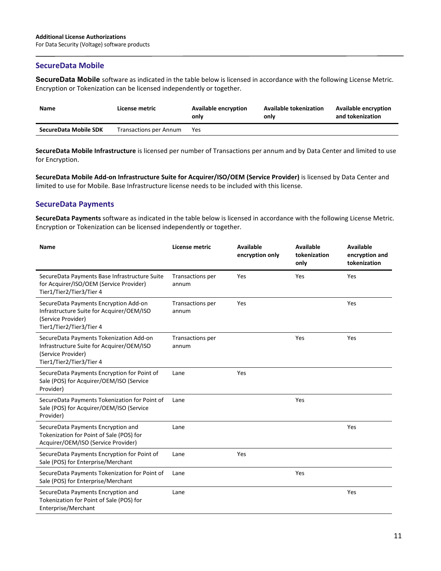## **SecureData Mobile**

**SecureData Mobile** software as indicated in the table below is licensed in accordance with the following License Metric. Encryption or Tokenization can be licensed independently or together.

| <b>Name</b>           | License metric                | <b>Available encryption</b><br>only | <b>Available tokenization</b><br>only | <b>Available encryption</b><br>and tokenization |
|-----------------------|-------------------------------|-------------------------------------|---------------------------------------|-------------------------------------------------|
| SecureData Mobile SDK | <b>Transactions per Annum</b> | Yes                                 |                                       |                                                 |

**SecureData Mobile Infrastructure** is licensed per number of Transactions per annum and by Data Center and limited to use for Encryption.

**SecureData Mobile Add-on Infrastructure Suite for Acquirer/ISO/OEM (Service Provider)** is licensed by Data Center and limited to use for Mobile. Base Infrastructure license needs to be included with this license.

# **SecureData Payments**

**SecureData Payments** software as indicated in the table below is licensed in accordance with the following License Metric. Encryption or Tokenization can be licensed independently or together.

| Name                                                                                                                                   | License metric            | <b>Available</b><br>encryption only | <b>Available</b><br>tokenization<br>only | <b>Available</b><br>encryption and<br>tokenization |
|----------------------------------------------------------------------------------------------------------------------------------------|---------------------------|-------------------------------------|------------------------------------------|----------------------------------------------------|
| SecureData Payments Base Infrastructure Suite<br>for Acquirer/ISO/OEM (Service Provider)<br>Tier1/Tier2/Tier3/Tier 4                   | Transactions per<br>annum | Yes                                 | Yes                                      | Yes                                                |
| SecureData Payments Encryption Add-on<br>Infrastructure Suite for Acquirer/OEM/ISO<br>(Service Provider)<br>Tier1/Tier2/Tier3/Tier 4   | Transactions per<br>annum | Yes                                 |                                          | Yes                                                |
| SecureData Payments Tokenization Add-on<br>Infrastructure Suite for Acquirer/OEM/ISO<br>(Service Provider)<br>Tier1/Tier2/Tier3/Tier 4 | Transactions per<br>annum |                                     | Yes                                      | Yes                                                |
| SecureData Payments Encryption for Point of<br>Sale (POS) for Acquirer/OEM/ISO (Service<br>Provider)                                   | Lane                      | Yes                                 |                                          |                                                    |
| SecureData Payments Tokenization for Point of<br>Sale (POS) for Acquirer/OEM/ISO (Service<br>Provider)                                 | Lane                      |                                     | Yes                                      |                                                    |
| SecureData Payments Encryption and<br>Tokenization for Point of Sale (POS) for<br>Acquirer/OEM/ISO (Service Provider)                  | Lane                      |                                     |                                          | Yes                                                |
| SecureData Payments Encryption for Point of<br>Sale (POS) for Enterprise/Merchant                                                      | Lane                      | Yes                                 |                                          |                                                    |
| SecureData Payments Tokenization for Point of<br>Sale (POS) for Enterprise/Merchant                                                    | Lane                      |                                     | Yes                                      |                                                    |
| SecureData Payments Encryption and<br>Tokenization for Point of Sale (POS) for<br>Enterprise/Merchant                                  | Lane                      |                                     |                                          | Yes                                                |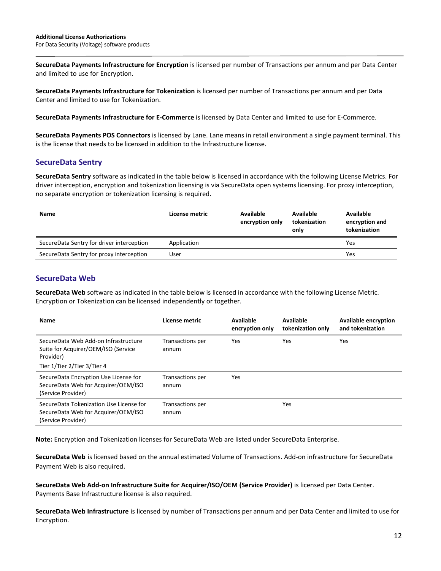**SecureData Payments Infrastructure for Encryption** is licensed per number of Transactions per annum and per Data Center and limited to use for Encryption.

**SecureData Payments Infrastructure for Tokenization** is licensed per number of Transactions per annum and per Data Center and limited to use for Tokenization.

**SecureData Payments Infrastructure for E-Commerce** is licensed by Data Center and limited to use for E-Commerce.

**SecureData Payments POS Connectors** is licensed by Lane. Lane means in retail environment a single payment terminal. This is the license that needs to be licensed in addition to the Infrastructure license.

# **SecureData Sentry**

**SecureData Sentry** software as indicated in the table below is licensed in accordance with the following License Metrics. For driver interception, encryption and tokenization licensing is via SecureData open systems licensing. For proxy interception, no separate encryption or tokenization licensing is required.

| <b>Name</b>                               | License metric | Available<br>encryption only | Available<br>tokenization<br>only | Available<br>encryption and<br>tokenization |
|-------------------------------------------|----------------|------------------------------|-----------------------------------|---------------------------------------------|
| SecureData Sentry for driver interception | Application    |                              |                                   | Yes                                         |
| SecureData Sentry for proxy interception  | User           |                              |                                   | Yes                                         |

# **SecureData Web**

**SecureData Web** software as indicated in the table below is licensed in accordance with the following License Metric. Encryption or Tokenization can be licensed independently or together.

| <b>Name</b>                                                                                                             | License metric            | <b>Available</b><br>encryption only | Available<br>tokenization only | <b>Available encryption</b><br>and tokenization |
|-------------------------------------------------------------------------------------------------------------------------|---------------------------|-------------------------------------|--------------------------------|-------------------------------------------------|
| SecureData Web Add-on Infrastructure<br>Suite for Acquirer/OEM/ISO (Service<br>Provider)<br>Tier 1/Tier 2/Tier 3/Tier 4 | Transactions per<br>annum | <b>Yes</b>                          | Yes                            | Yes                                             |
| SecureData Encryption Use License for<br>SecureData Web for Acquirer/OEM/ISO<br>(Service Provider)                      | Transactions per<br>annum | <b>Yes</b>                          |                                |                                                 |
| SecureData Tokenization Use License for<br>SecureData Web for Acquirer/OEM/ISO<br>(Service Provider)                    | Transactions per<br>annum |                                     | Yes                            |                                                 |

**Note:** Encryption and Tokenization licenses for SecureData Web are listed under SecureData Enterprise.

**SecureData Web** is licensed based on the annual estimated Volume of Transactions. Add-on infrastructure for SecureData Payment Web is also required.

**SecureData Web Add-on Infrastructure Suite for Acquirer/ISO/OEM (Service Provider)** is licensed per Data Center. Payments Base Infrastructure license is also required.

**SecureData Web Infrastructure** is licensed by number of Transactions per annum and per Data Center and limited to use for Encryption.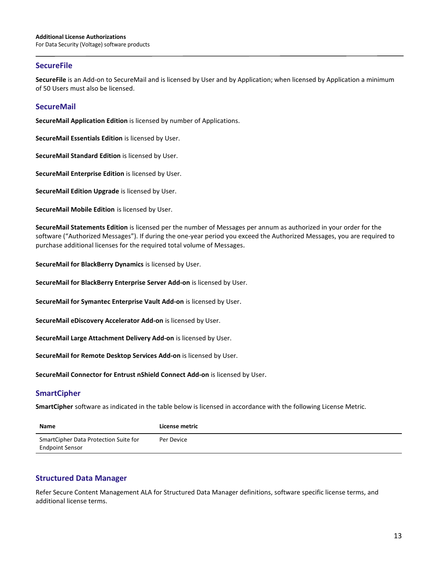## **SecureFile**

**SecureFile** is an Add-on to SecureMail and is licensed by User and by Application; when licensed by Application a minimum of 50 Users must also be licensed.

## **SecureMail**

**SecureMail Application Edition** is licensed by number of Applications.

**SecureMail Essentials Edition** is licensed by User.

**SecureMail Standard Edition** is licensed by User.

**SecureMail Enterprise Edition** is licensed by User.

**SecureMail Edition Upgrade** is licensed by User.

**SecureMail Mobile Edition** is licensed by User.

**SecureMail Statements Edition** is licensed per the number of Messages per annum as authorized in your order for the software ("Authorized Messages"). If during the one-year period you exceed the Authorized Messages, you are required to purchase additional licenses for the required total volume of Messages.

**SecureMail for BlackBerry Dynamics** is licensed by User.

**SecureMail for BlackBerry Enterprise Server Add-on** is licensed by User.

**SecureMail for Symantec Enterprise Vault Add-on** is licensed by User.

**SecureMail eDiscovery Accelerator Add-on** is licensed by User.

**SecureMail Large Attachment Delivery Add-on** is licensed by User.

**SecureMail for Remote Desktop Services Add-on** is licensed by User.

**SecureMail Connector for Entrust nShield Connect Add-on** is licensed by User.

#### **SmartCipher**

**SmartCipher** software as indicated in the table below is licensed in accordance with the following License Metric.

| <b>Name</b>                                                     | License metric |
|-----------------------------------------------------------------|----------------|
| SmartCipher Data Protection Suite for<br><b>Endpoint Sensor</b> | Per Device     |

# **Structured Data Manager**

Refer Secure Content Management ALA for Structured Data Manager definitions, software specific license terms, and additional license terms.